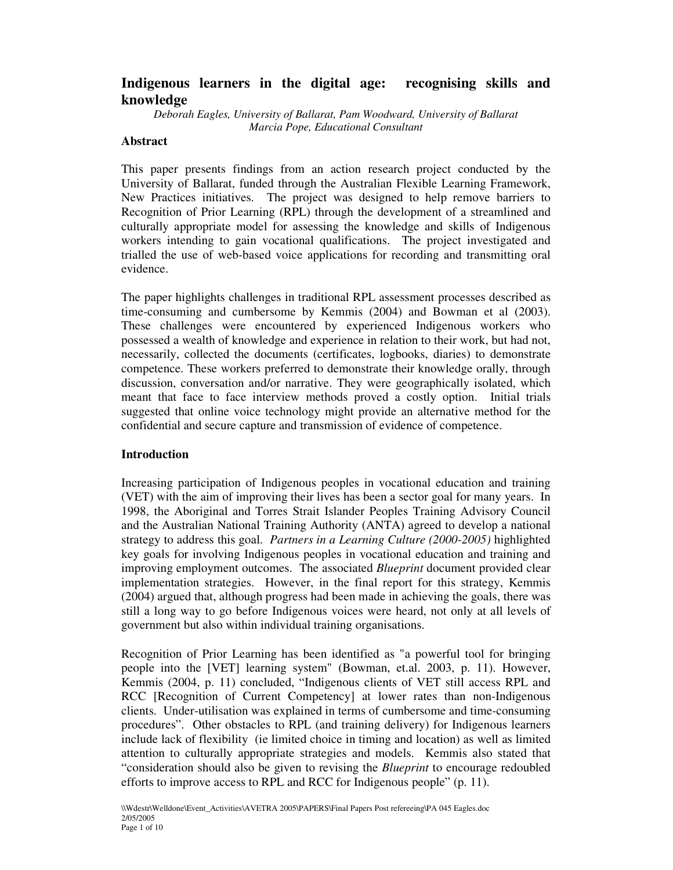# **Indigenous learners in the digital age: recognising skills and knowledge**

*Deborah Eagles, University of Ballarat, Pam Woodward, University of Ballarat Marcia Pope, Educational Consultant*

### **Abstract**

This paper presents findings from an action research project conducted by the University of Ballarat, funded through the Australian Flexible Learning Framework, New Practices initiatives. The project was designed to help remove barriers to Recognition of Prior Learning (RPL) through the development of a streamlined and culturally appropriate model for assessing the knowledge and skills of Indigenous workers intending to gain vocational qualifications. The project investigated and trialled the use of web-based voice applications for recording and transmitting oral evidence.

The paper highlights challenges in traditional RPL assessment processes described as time-consuming and cumbersome by Kemmis (2004) and Bowman et al (2003). These challenges were encountered by experienced Indigenous workers who possessed a wealth of knowledge and experience in relation to their work, but had not, necessarily, collected the documents (certificates, logbooks, diaries) to demonstrate competence. These workers preferred to demonstrate their knowledge orally, through discussion, conversation and/or narrative. They were geographically isolated, which meant that face to face interview methods proved a costly option. Initial trials suggested that online voice technology might provide an alternative method for the confidential and secure capture and transmission of evidence of competence.

#### **Introduction**

Increasing participation of Indigenous peoples in vocational education and training (VET) with the aim of improving their lives has been a sector goal for many years. In 1998, the Aboriginal and Torres Strait Islander Peoples Training Advisory Council and the Australian National Training Authority (ANTA) agreed to develop a national strategy to address this goal. *Partners in a Learning Culture (2000-2005)* highlighted key goals for involving Indigenous peoples in vocational education and training and improving employment outcomes. The associated *Blueprint* document provided clear implementation strategies. However, in the final report for this strategy, Kemmis (2004) argued that, although progress had been made in achieving the goals, there was still a long way to go before Indigenous voices were heard, not only at all levels of government but also within individual training organisations.

Recognition of Prior Learning has been identified as "a powerful tool for bringing people into the [VET] learning system" (Bowman, et.al. 2003, p. 11). However, Kemmis (2004, p. 11) concluded, "Indigenous clients of VET still access RPL and RCC [Recognition of Current Competency] at lower rates than non-Indigenous clients. Under-utilisation was explained in terms of cumbersome and time-consuming procedures". Other obstacles to RPL (and training delivery) for Indigenous learners include lack of flexibility (ie limited choice in timing and location) as well as limited attention to culturally appropriate strategies and models. Kemmis also stated that "consideration should also be given to revising the *Blueprint* to encourage redoubled efforts to improve access to RPL and RCC for Indigenous people" (p. 11).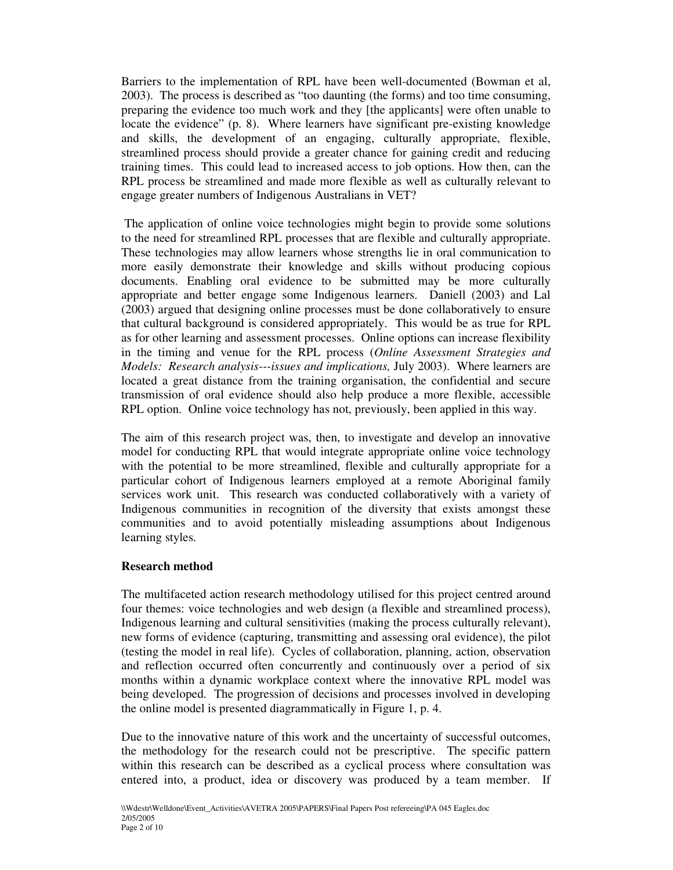Barriers to the implementation of RPL have been well-documented (Bowman et al, 2003). The process is described as "too daunting (the forms) and too time consuming, preparing the evidence too much work and they [the applicants] were often unable to locate the evidence" (p. 8). Where learners have significant pre-existing knowledge and skills, the development of an engaging, culturally appropriate, flexible, streamlined process should provide a greater chance for gaining credit and reducing training times. This could lead to increased access to job options. How then, can the RPL process be streamlined and made more flexible as well as culturally relevant to engage greater numbers of Indigenous Australians in VET?

The application of online voice technologies might begin to provide some solutions to the need for streamlined RPL processes that are flexible and culturally appropriate. These technologies may allow learners whose strengths lie in oral communication to more easily demonstrate their knowledge and skills without producing copious documents. Enabling oral evidence to be submitted may be more culturally appropriate and better engage some Indigenous learners. Daniell (2003) and Lal (2003) argued that designing online processes must be done collaboratively to ensure that cultural background is considered appropriately. This would be as true for RPL as for other learning and assessment processes. Online options can increase flexibility in the timing and venue for the RPL process (*Online Assessment Strategies and Models: Research analysis---issues and implications,* July 2003). Where learners are located a great distance from the training organisation, the confidential and secure transmission of oral evidence should also help produce a more flexible, accessible RPL option. Online voice technology has not, previously, been applied in this way.

The aim of this research project was, then, to investigate and develop an innovative model for conducting RPL that would integrate appropriate online voice technology with the potential to be more streamlined, flexible and culturally appropriate for a particular cohort of Indigenous learners employed at a remote Aboriginal family services work unit. This research was conducted collaboratively with a variety of Indigenous communities in recognition of the diversity that exists amongst these communities and to avoid potentially misleading assumptions about Indigenous learning styles.

#### **Research method**

The multifaceted action research methodology utilised for this project centred around four themes: voice technologies and web design (a flexible and streamlined process), Indigenous learning and cultural sensitivities (making the process culturally relevant), new forms of evidence (capturing, transmitting and assessing oral evidence), the pilot (testing the model in real life). Cycles of collaboration, planning, action, observation and reflection occurred often concurrently and continuously over a period of six months within a dynamic workplace context where the innovative RPL model was being developed. The progression of decisions and processes involved in developing the online model is presented diagrammatically in Figure 1, p. 4.

Due to the innovative nature of this work and the uncertainty of successful outcomes, the methodology for the research could not be prescriptive. The specific pattern within this research can be described as a cyclical process where consultation was entered into, a product, idea or discovery was produced by a team member. If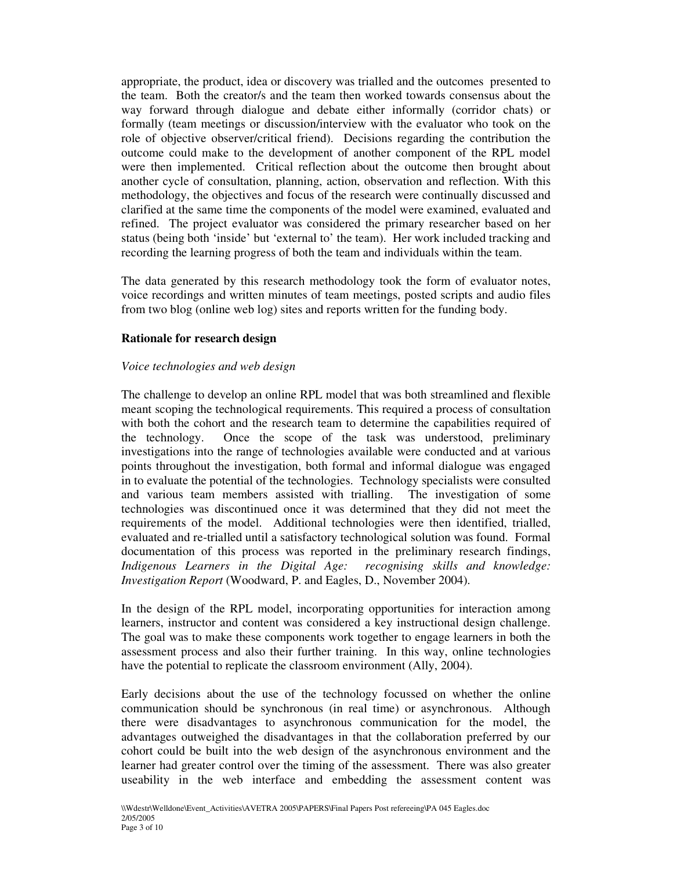appropriate, the product, idea or discovery was trialled and the outcomes presented to the team. Both the creator/s and the team then worked towards consensus about the way forward through dialogue and debate either informally (corridor chats) or formally (team meetings or discussion/interview with the evaluator who took on the role of objective observer/critical friend). Decisions regarding the contribution the outcome could make to the development of another component of the RPL model were then implemented. Critical reflection about the outcome then brought about another cycle of consultation, planning, action, observation and reflection. With this methodology, the objectives and focus of the research were continually discussed and clarified at the same time the components of the model were examined, evaluated and refined. The project evaluator was considered the primary researcher based on her status (being both 'inside' but 'external to' the team). Her work included tracking and recording the learning progress of both the team and individuals within the team.

The data generated by this research methodology took the form of evaluator notes, voice recordings and written minutes of team meetings, posted scripts and audio files from two blog (online web log) sites and reports written for the funding body.

### **Rationale for research design**

### *Voice technologies and web design*

The challenge to develop an online RPL model that was both streamlined and flexible meant scoping the technological requirements. This required a process of consultation with both the cohort and the research team to determine the capabilities required of the technology. Once the scope of the task was understood, preliminary investigations into the range of technologies available were conducted and at various points throughout the investigation, both formal and informal dialogue was engaged in to evaluate the potential of the technologies. Technology specialists were consulted and various team members assisted with trialling. The investigation of some technologies was discontinued once it was determined that they did not meet the requirements of the model. Additional technologies were then identified, trialled, evaluated and re-trialled until a satisfactory technological solution was found. Formal documentation of this process was reported in the preliminary research findings, *Indigenous Learners in the Digital Age: recognising skills and knowledge: Investigation Report* (Woodward, P. and Eagles, D., November 2004).

In the design of the RPL model, incorporating opportunities for interaction among learners, instructor and content was considered a key instructional design challenge. The goal was to make these components work together to engage learners in both the assessment process and also their further training. In this way, online technologies have the potential to replicate the classroom environment (Ally, 2004).

Early decisions about the use of the technology focussed on whether the online communication should be synchronous (in real time) or asynchronous. Although there were disadvantages to asynchronous communication for the model, the advantages outweighed the disadvantages in that the collaboration preferred by our cohort could be built into the web design of the asynchronous environment and the learner had greater control over the timing of the assessment. There was also greater useability in the web interface and embedding the assessment content was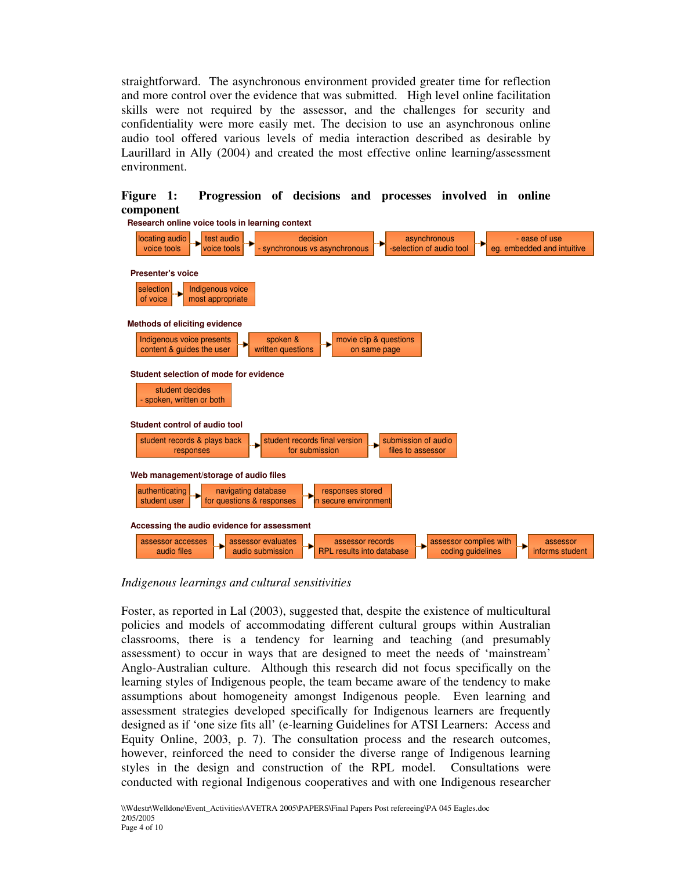straightforward. The asynchronous environment provided greater time for reflection and more control over the evidence that was submitted. High level online facilitation skills were not required by the assessor, and the challenges for security and confidentiality were more easily met. The decision to use an asynchronous online audio tool offered various levels of media interaction described as desirable by Laurillard in Ally (2004) and created the most effective online learning/assessment environment.



## **Figure 1: Progression of decisions and processes involved in online component**

*Indigenous learnings and cultural sensitivities*

Foster, as reported in Lal (2003), suggested that, despite the existence of multicultural policies and models of accommodating different cultural groups within Australian classrooms, there is a tendency for learning and teaching (and presumably assessment) to occur in ways that are designed to meet the needs of 'mainstream' Anglo-Australian culture. Although this research did not focus specifically on the learning styles of Indigenous people, the team became aware of the tendency to make assumptions about homogeneity amongst Indigenous people. Even learning and assessment strategies developed specifically for Indigenous learners are frequently designed as if 'one size fits all' (e-learning Guidelines for ATSI Learners: Access and Equity Online, 2003, p. 7). The consultation process and the research outcomes, however, reinforced the need to consider the diverse range of Indigenous learning styles in the design and construction of the RPL model. Consultations were conducted with regional Indigenous cooperatives and with one Indigenous researcher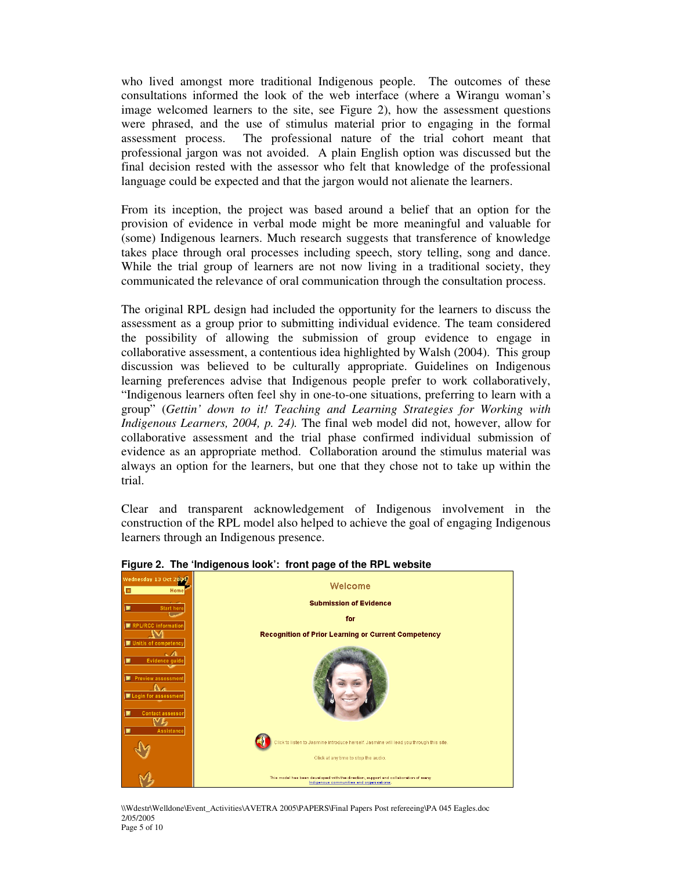who lived amongst more traditional Indigenous people. The outcomes of these consultations informed the look of the web interface (where a Wirangu woman's image welcomed learners to the site, see Figure 2), how the assessment questions were phrased, and the use of stimulus material prior to engaging in the formal assessment process. The professional nature of the trial cohort meant that professional jargon was not avoided. A plain English option was discussed but the final decision rested with the assessor who felt that knowledge of the professional language could be expected and that the jargon would not alienate the learners.

From its inception, the project was based around a belief that an option for the provision of evidence in verbal mode might be more meaningful and valuable for (some) Indigenous learners. Much research suggests that transference of knowledge takes place through oral processes including speech, story telling, song and dance. While the trial group of learners are not now living in a traditional society, they communicated the relevance of oral communication through the consultation process.

The original RPL design had included the opportunity for the learners to discuss the assessment as a group prior to submitting individual evidence. The team considered the possibility of allowing the submission of group evidence to engage in collaborative assessment, a contentious idea highlighted by Walsh (2004). This group discussion was believed to be culturally appropriate. Guidelines on Indigenous learning preferences advise that Indigenous people prefer to work collaboratively, "Indigenous learners often feel shy in one-to-one situations, preferring to learn with a group" (*Gettin' down to it! Teaching and Learning Strategies for Working with Indigenous Learners, 2004, p. 24).* The final web model did not, however, allow for collaborative assessment and the trial phase confirmed individual submission of evidence as an appropriate method. Collaboration around the stimulus material was always an option for the learners, but one that they chose not to take up within the trial.

Clear and transparent acknowledgement of Indigenous involvement in the construction of the RPL model also helped to achieve the goal of engaging Indigenous learners through an Indigenous presence.



**Figure 2. The 'Indigenous look': front page of the RPL website**

\\Wdestr\Welldone\Event\_Activities\AVETRA 2005\PAPERS\Final Papers Post refereeing\PA 045 Eagles.doc 2/05/2005 Page 5 of 10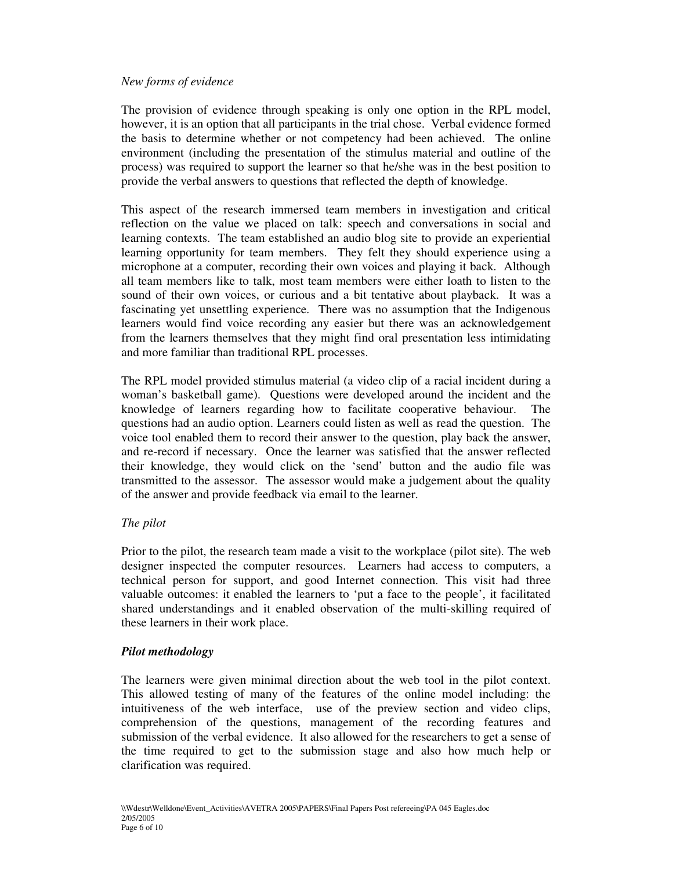### *New forms of evidence*

The provision of evidence through speaking is only one option in the RPL model, however, it is an option that all participants in the trial chose. Verbal evidence formed the basis to determine whether or not competency had been achieved. The online environment (including the presentation of the stimulus material and outline of the process) was required to support the learner so that he/she was in the best position to provide the verbal answers to questions that reflected the depth of knowledge.

This aspect of the research immersed team members in investigation and critical reflection on the value we placed on talk: speech and conversations in social and learning contexts. The team established an audio blog site to provide an experiential learning opportunity for team members. They felt they should experience using a microphone at a computer, recording their own voices and playing it back. Although all team members like to talk, most team members were either loath to listen to the sound of their own voices, or curious and a bit tentative about playback. It was a fascinating yet unsettling experience. There was no assumption that the Indigenous learners would find voice recording any easier but there was an acknowledgement from the learners themselves that they might find oral presentation less intimidating and more familiar than traditional RPL processes.

The RPL model provided stimulus material (a video clip of a racial incident during a woman's basketball game). Questions were developed around the incident and the knowledge of learners regarding how to facilitate cooperative behaviour. The questions had an audio option. Learners could listen as well as read the question. The voice tool enabled them to record their answer to the question, play back the answer, and re-record if necessary. Once the learner was satisfied that the answer reflected their knowledge, they would click on the 'send' button and the audio file was transmitted to the assessor. The assessor would make a judgement about the quality of the answer and provide feedback via email to the learner.

### *The pilot*

Prior to the pilot, the research team made a visit to the workplace (pilot site). The web designer inspected the computer resources. Learners had access to computers, a technical person for support, and good Internet connection. This visit had three valuable outcomes: it enabled the learners to 'put a face to the people', it facilitated shared understandings and it enabled observation of the multi-skilling required of these learners in their work place.

### *Pilot methodology*

The learners were given minimal direction about the web tool in the pilot context. This allowed testing of many of the features of the online model including: the intuitiveness of the web interface, use of the preview section and video clips, comprehension of the questions, management of the recording features and submission of the verbal evidence. It also allowed for the researchers to get a sense of the time required to get to the submission stage and also how much help or clarification was required.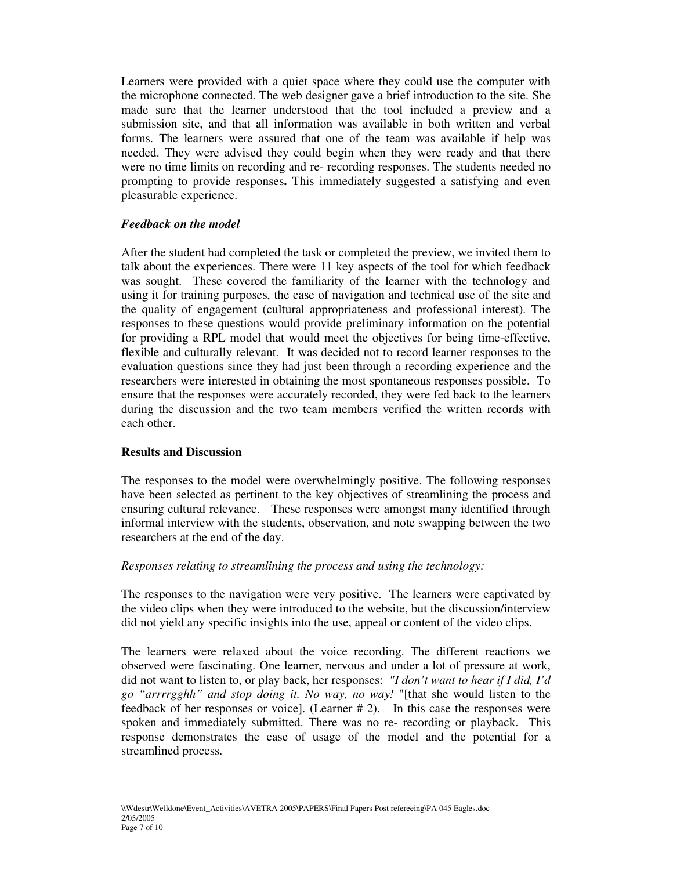Learners were provided with a quiet space where they could use the computer with the microphone connected. The web designer gave a brief introduction to the site. She made sure that the learner understood that the tool included a preview and a submission site, and that all information was available in both written and verbal forms. The learners were assured that one of the team was available if help was needed. They were advised they could begin when they were ready and that there were no time limits on recording and re- recording responses. The students needed no prompting to provide responses**.** This immediately suggested a satisfying and even pleasurable experience.

### *Feedback on the model*

After the student had completed the task or completed the preview, we invited them to talk about the experiences. There were 11 key aspects of the tool for which feedback was sought. These covered the familiarity of the learner with the technology and using it for training purposes, the ease of navigation and technical use of the site and the quality of engagement (cultural appropriateness and professional interest). The responses to these questions would provide preliminary information on the potential for providing a RPL model that would meet the objectives for being time-effective, flexible and culturally relevant. It was decided not to record learner responses to the evaluation questions since they had just been through a recording experience and the researchers were interested in obtaining the most spontaneous responses possible. To ensure that the responses were accurately recorded, they were fed back to the learners during the discussion and the two team members verified the written records with each other.

#### **Results and Discussion**

The responses to the model were overwhelmingly positive. The following responses have been selected as pertinent to the key objectives of streamlining the process and ensuring cultural relevance. These responses were amongst many identified through informal interview with the students, observation, and note swapping between the two researchers at the end of the day.

#### *Responses relating to streamlining the process and using the technology:*

The responses to the navigation were very positive. The learners were captivated by the video clips when they were introduced to the website, but the discussion/interview did not yield any specific insights into the use, appeal or content of the video clips.

The learners were relaxed about the voice recording. The different reactions we observed were fascinating. One learner, nervous and under a lot of pressure at work, did not want to listen to, or play back, her responses: *"I don't want to hear if I did, I'd go "arrrrgghh" and stop doing it. No way, no way!* "[that she would listen to the feedback of her responses or voice]. (Learner # 2). In this case the responses were spoken and immediately submitted. There was no re- recording or playback. This response demonstrates the ease of usage of the model and the potential for a streamlined process.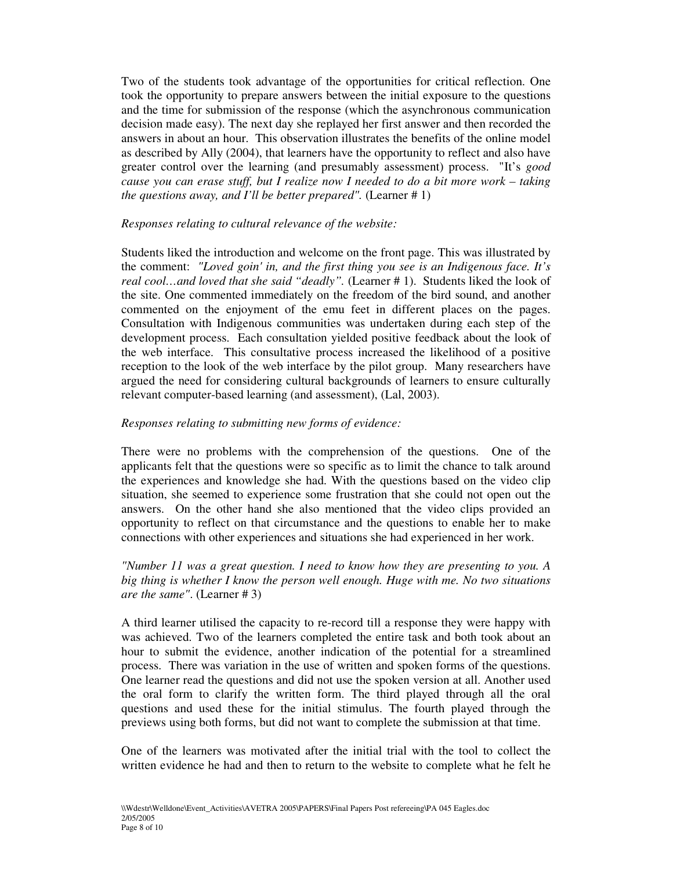Two of the students took advantage of the opportunities for critical reflection. One took the opportunity to prepare answers between the initial exposure to the questions and the time for submission of the response (which the asynchronous communication decision made easy). The next day she replayed her first answer and then recorded the answers in about an hour. This observation illustrates the benefits of the online model as described by Ally (2004), that learners have the opportunity to reflect and also have greater control over the learning (and presumably assessment) process. "It's *good cause you can erase stuff, but I realize now I needed to do a bit more work – taking the questions away, and I'll be better prepared".* (Learner # 1)

### *Responses relating to cultural relevance of the website:*

Students liked the introduction and welcome on the front page. This was illustrated by the comment: *"Loved goin'in, and the first thing you see is an Indigenous face. It's real cool…and loved that she said "deadly".* (Learner # 1). Students liked the look of the site. One commented immediately on the freedom of the bird sound, and another commented on the enjoyment of the emu feet in different places on the pages. Consultation with Indigenous communities was undertaken during each step of the development process. Each consultation yielded positive feedback about the look of the web interface. This consultative process increased the likelihood of a positive reception to the look of the web interface by the pilot group. Many researchers have argued the need for considering cultural backgrounds of learners to ensure culturally relevant computer-based learning (and assessment), (Lal, 2003).

### *Responses relating to submitting new forms of evidence:*

There were no problems with the comprehension of the questions. One of the applicants felt that the questions were so specific as to limit the chance to talk around the experiences and knowledge she had. With the questions based on the video clip situation, she seemed to experience some frustration that she could not open out the answers. On the other hand she also mentioned that the video clips provided an opportunity to reflect on that circumstance and the questions to enable her to make connections with other experiences and situations she had experienced in her work.

#### *"Number 11 was a great question. I need to know how they are presenting to you. A big thing is whether I know the person well enough. Huge with me. No two situations are the same"*. (Learner # 3)

A third learner utilised the capacity to re-record till a response they were happy with was achieved. Two of the learners completed the entire task and both took about an hour to submit the evidence, another indication of the potential for a streamlined process. There was variation in the use of written and spoken forms of the questions. One learner read the questions and did not use the spoken version at all. Another used the oral form to clarify the written form. The third played through all the oral questions and used these for the initial stimulus. The fourth played through the previews using both forms, but did not want to complete the submission at that time.

One of the learners was motivated after the initial trial with the tool to collect the written evidence he had and then to return to the website to complete what he felt he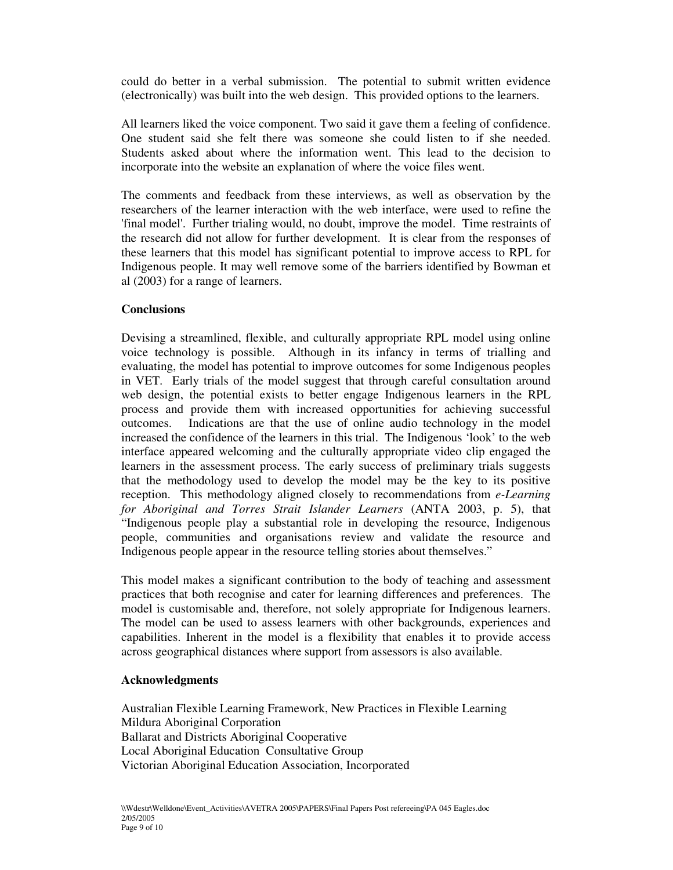could do better in a verbal submission. The potential to submit written evidence (electronically) was built into the web design. This provided options to the learners.

All learners liked the voice component. Two said it gave them a feeling of confidence. One student said she felt there was someone she could listen to if she needed. Students asked about where the information went. This lead to the decision to incorporate into the website an explanation of where the voice files went.

The comments and feedback from these interviews, as well as observation by the researchers of the learner interaction with the web interface, were used to refine the 'final model'. Further trialing would, no doubt, improve the model. Time restraints of the research did not allow for further development. It is clear from the responses of these learners that this model has significant potential to improve access to RPL for Indigenous people. It may well remove some of the barriers identified by Bowman et al (2003) for a range of learners.

#### **Conclusions**

Devising a streamlined, flexible, and culturally appropriate RPL model using online voice technology is possible. Although in its infancy in terms of trialling and evaluating, the model has potential to improve outcomes for some Indigenous peoples in VET. Early trials of the model suggest that through careful consultation around web design, the potential exists to better engage Indigenous learners in the RPL process and provide them with increased opportunities for achieving successful outcomes. Indications are that the use of online audio technology in the model increased the confidence of the learners in this trial. The Indigenous 'look' to the web interface appeared welcoming and the culturally appropriate video clip engaged the learners in the assessment process. The early success of preliminary trials suggests that the methodology used to develop the model may be the key to its positive reception. This methodology aligned closely to recommendations from *e-Learning for Aboriginal and Torres Strait Islander Learners* (ANTA 2003, p. 5), that "Indigenous people play a substantial role in developing the resource, Indigenous people, communities and organisations review and validate the resource and Indigenous people appear in the resource telling stories about themselves."

This model makes a significant contribution to the body of teaching and assessment practices that both recognise and cater for learning differences and preferences. The model is customisable and, therefore, not solely appropriate for Indigenous learners. The model can be used to assess learners with other backgrounds, experiences and capabilities. Inherent in the model is a flexibility that enables it to provide access across geographical distances where support from assessors is also available.

#### **Acknowledgments**

Australian Flexible Learning Framework, New Practices in Flexible Learning Mildura Aboriginal Corporation Ballarat and Districts Aboriginal Cooperative Local Aboriginal Education Consultative Group Victorian Aboriginal Education Association, Incorporated